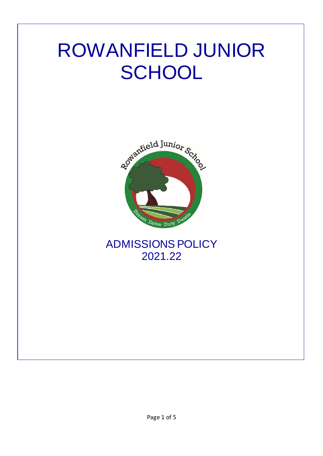# ROWANFIELD JUNIOR **SCHOOL**



ADMISSIONS POLICY 2021.22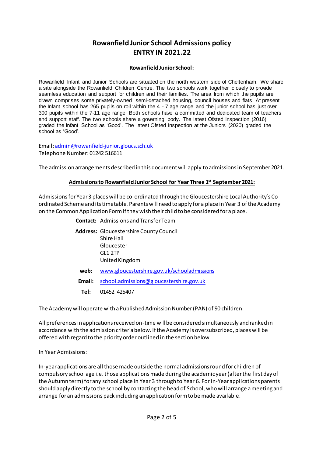# **Rowanfield Junior School Admissions policy ENTRY IN 2021.22**

#### **Rowanfield Junior School:**

Rowanfield Infant and Junior Schools are situated on the north western side of Cheltenham. We share a site alongside the Rowanfield Children Centre. The two schools work together closely to provide seamless education and support for children and their families. The area from which the pupils are drawn comprises some privately-owned semi-detached housing, council houses and flats. At present the Infant school has 265 pupils on roll within the 4 - 7 age range and the junior school has just over 300 pupils within the 7-11 age range. Both schools have a committed and dedicated team of teachers and support staff. The two schools share a governing body. The latest Ofsted inspection (2016) graded the Infant School as 'Good'. The latest Ofsted inspection at the Juniors (2020) graded the school as 'Good'.

Email[: admin@rowanfield-junior.gloucs.sch.uk](mailto:admin@rowanfield-junior.gloucs.sch.uk) Telephone Number: 01242 516611

The admission arrangements described in this document will apply to admissions in September 2021.

#### **Admissions to Rowanfield Junior School for Year Three 1 st September 2021:**

Admissions for Year 3 places will be co-ordinated through the Gloucestershire Local Authority's Coordinated Scheme and its timetable. Parents will need to apply for a place in Year 3 of the Academy on the Common Application Form if they wish their child to be considered for a place.

|        | <b>Contact:</b> Admissions and Transfer Team                                                           |
|--------|--------------------------------------------------------------------------------------------------------|
|        | <b>Address:</b> Gloucestershire County Council<br>Shire Hall<br>Gloucester<br>GLI2TP<br>United Kingdom |
| web:   | www.gloucestershire.gov.uk/schooladmissions                                                            |
| Email: | school.admissions@gloucestershire.gov.uk                                                               |
| Tel:   | 01452 425407                                                                                           |

The Academy will operate with a Published Admission Number (PAN) of 90 children.

All preferences in applications received on-time will be considered simultaneously and ranked in accordance with the admission criteria below. If the Academy is oversubscribed, places will be offered with regard to the priority order outlined in the section below.

#### In Year Admissions:

In-year applications are all those made outside the normal admissions round for children of compulsory school age i.e. those applications made during the academic year (after the first day of the Autumn term) for any school place in Year 3 through to Year 6. For In-Year applications parents should apply directly to the school by contacting the head of School, who will arrange a meeting and arrange for an admissions pack including an application form to be made available.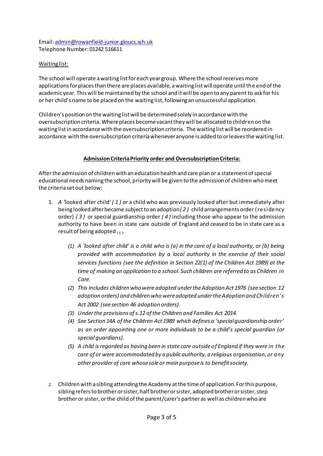Email[: admin@rowanfield-junior.gloucs.sch.uk](mailto:admin@rowanfield-junior.gloucs.sch.uk) Telephone Number: 01242 516611

# Waiting list:

The school will operate a waiting list for each year group. Where the school receives more applications for places than there are places available, a waiting list will operate until the end of the academic year. This will be maintained by the school and it will be open to any parent to ask for his or her child's name to be placed on the waiting list, following an unsuccessful application.

Children's position on the waiting list will be determined solely in accordance with the oversubscription criteria. Where places become vacant they will be allocated to children on the waiting list in accordance with the oversubscription criteria. The waiting list will be reordered in accordance with the oversubscription criteria whenever anyone is added to or leaves the waiting list.

## **Admission Criteria Priority order and Oversubscription Criteria:**

After the admission of children with an education health and care plan or a statement of special educational needs naming the school, priority will be given to the admission of children who meet the criteria set out below:

- 1. *A '*looked after child' *( 1 )* or a child who was previously looked after but immediately after being looked after became subject to an adoption*( 2 )* child arrangements order (residency order) *( 3 )* or special guardianship order *( 4 )* including those who appear to the admission authority to have been in state care outside of England and ceased to be in state care as a result of being adopted *( 5 )*.
	- *(1) A 'looked after child' is a child who is (a) in the care of a local authority, or (b) being provided with accommodation by a local authority in the exercise of their social services functions (see the definition in Section 22(1) of the Children Act 1989) at the time of making an application to a school. Such children are referred to as Children in Care.*
	- *(2) This includes children who were adopted under the Adoption Act 1976 (see section 12 adoption orders) and children who were adopted under the Adoption and Children's Act 2002 (see section 46 adoption orders).*
	- *(3) Under the provisions of s.12 of the Children and Families Act 2014.*
	- *(4) See Section 14A of the Children Act 1989 which defines a 'special guardianship order' as an order appointing one or more individuals to be a child's special guardian (or special guardians).*
	- *(5) A child is regarded as having been in state care outside of England if they were in the care of or were accommodated by a public authority, a religious organisation, or any other provider of care whose sole or main purpose is to benefit society.*
- *2.* Children with a sibling attending the Academy at the time of application. For this purpose, sibling refers to brother or sister, half brother or sister, adopted brother or sister, step brother or sister, or the child of the parent/carer's partner as well as children who are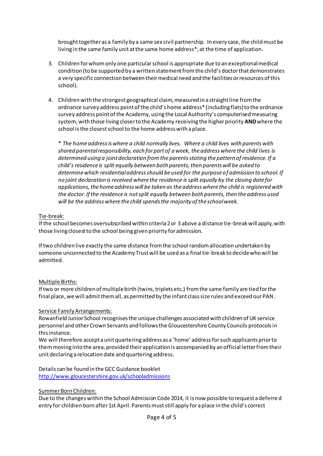brought together as a family by a same sex civil partnership. In every case, the child must be living in the same family unit at the same home address\*, at the time of application.

- 3. Children for whom only one particular school is appropriate due to an exceptional medical condition (to be supported by a written statement from the child's doctor that demonstrates a very specific connection between their medical need and the facilities or resources of this school).
- 4. Children with the strongest geographical claim, measured in a straight line from the ordnance survey address point of the child's home address\* (including flats) to the ordnance survey address point of the Academy, using the Local Authority's computerised measuring system, with those living closer to the Academy receiving the higher priority **AND**where the school is the closest school to the home address with a place.

\* *The home address is where a child normally lives. Where a child lives with parents with shared parental responsibility, each for part of a week, the address where the child lives is determined using a joint declaration from the parents stating the pattern of residence. If a child's residence is split equally between both parents, then parents will be asked to determine which residential address should be used for the purpose of admission to school. If no joint declaration is received where the residence is split equally by the closing date for applications, the home address will be taken as the address where the child is registered with the doctor. If the residence is not split equally between both parents, then the address used will be the address where the child spends the majority of the school week.*

#### Tie-break:

If the school becomes oversubscribed within criteria 2 or 3 above a distance tie-break will apply, with those living closest to the school being given priority for admission.

If two children live exactly the same distance from the school random allocation undertaken by someone unconnected to the Academy Trust will be used as a final tie-break to decide who will be admitted.

## Multiple Births:

If two or more children of multiple birth (twins, triplets etc.) from the same family are tied for the final place, we will admit them all, as permitted by the infant class size rules and exceed our PAN.

#### Service Family Arrangements:

Rowanfield Junior School recognises the unique challenges associated with children of UK service personnel and other Crown Servants and follows the Gloucestershire County Councils protocols in this instance.

We will therefore accept a unit quartering address as a 'home' address for such applicants prior to them moving into the area, provided their application is accompanied by an official letter from their unit declaring a relocation date and quartering address.

## Details can be found in the GCC Guidance booklet

<http://www.gloucestershire.gov.uk/schooladmissions>

#### Summer Born Children:

Due to the changes within the School Admission Code 2014, it is now possible to request a deferre d entry for children born after 1st April. Parents must still apply for a place in the child's correct